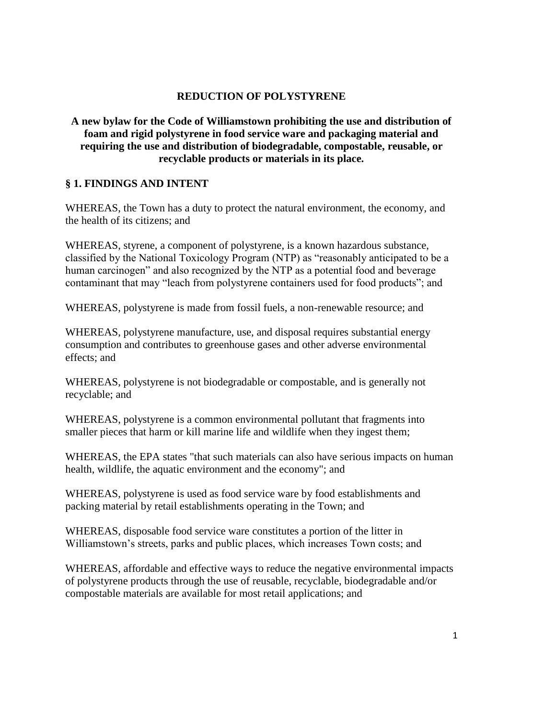## **REDUCTION OF POLYSTYRENE**

# **A new bylaw for the Code of Williamstown prohibiting the use and distribution of foam and rigid polystyrene in food service ware and packaging material and requiring the use and distribution of biodegradable, compostable, reusable, or recyclable products or materials in its place.**

## **§ 1. FINDINGS AND INTENT**

WHEREAS, the Town has a duty to protect the natural environment, the economy, and the health of its citizens; and

WHEREAS, styrene, a component of polystyrene, is a known hazardous substance, classified by the National Toxicology Program (NTP) as "reasonably anticipated to be a human carcinogen" and also recognized by the NTP as a potential food and beverage contaminant that may "leach from polystyrene containers used for food products"; and

WHEREAS, polystyrene is made from fossil fuels, a non-renewable resource; and

WHEREAS, polystyrene manufacture, use, and disposal requires substantial energy consumption and contributes to greenhouse gases and other adverse environmental effects; and

WHEREAS, polystyrene is not biodegradable or compostable, and is generally not recyclable; and

WHEREAS, polystyrene is a common environmental pollutant that fragments into smaller pieces that harm or kill marine life and wildlife when they ingest them;

WHEREAS, the EPA states "that such materials can also have serious impacts on human health, wildlife, the aquatic environment and the economy"; and

WHEREAS, polystyrene is used as food service ware by food establishments and packing material by retail establishments operating in the Town; and

WHEREAS, disposable food service ware constitutes a portion of the litter in Williamstown's streets, parks and public places, which increases Town costs; and

WHEREAS, affordable and effective ways to reduce the negative environmental impacts of polystyrene products through the use of reusable, recyclable, biodegradable and/or compostable materials are available for most retail applications; and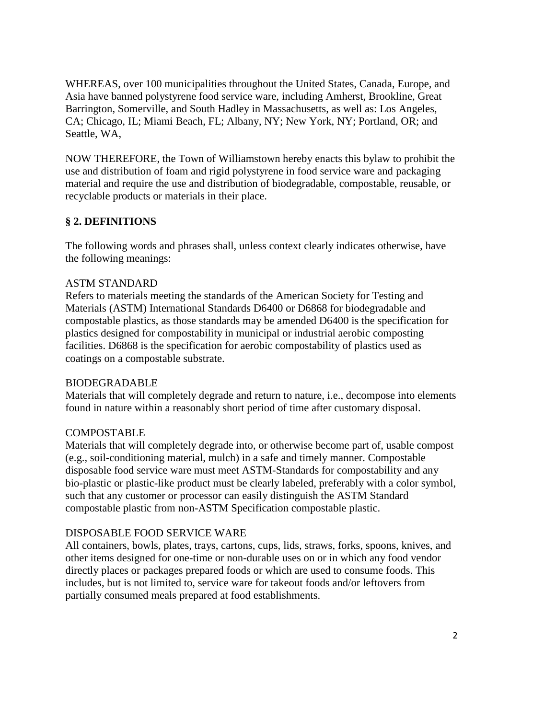WHEREAS, over 100 municipalities throughout the United States, Canada, Europe, and Asia have banned polystyrene food service ware, including Amherst, Brookline, Great Barrington, Somerville, and South Hadley in Massachusetts, as well as: Los Angeles, CA; Chicago, IL; Miami Beach, FL; Albany, NY; New York, NY; Portland, OR; and Seattle, WA,

NOW THEREFORE, the Town of Williamstown hereby enacts this bylaw to prohibit the use and distribution of foam and rigid polystyrene in food service ware and packaging material and require the use and distribution of biodegradable, compostable, reusable, or recyclable products or materials in their place.

## **§ 2. DEFINITIONS**

The following words and phrases shall, unless context clearly indicates otherwise, have the following meanings:

### ASTM STANDARD

Refers to materials meeting the standards of the American Society for Testing and Materials (ASTM) International Standards D6400 or D6868 for biodegradable and compostable plastics, as those standards may be amended D6400 is the specification for plastics designed for compostability in municipal or industrial aerobic composting facilities. D6868 is the specification for aerobic compostability of plastics used as coatings on a compostable substrate.

### BIODEGRADABLE

Materials that will completely degrade and return to nature, i.e., decompose into elements found in nature within a reasonably short period of time after customary disposal.

### **COMPOSTABLE**

Materials that will completely degrade into, or otherwise become part of, usable compost (e.g., soil-conditioning material, mulch) in a safe and timely manner. Compostable disposable food service ware must meet ASTM-Standards for compostability and any bio-plastic or plastic-like product must be clearly labeled, preferably with a color symbol, such that any customer or processor can easily distinguish the ASTM Standard compostable plastic from non-ASTM Specification compostable plastic.

### DISPOSABLE FOOD SERVICE WARE

All containers, bowls, plates, trays, cartons, cups, lids, straws, forks, spoons, knives, and other items designed for one-time or non-durable uses on or in which any food vendor directly places or packages prepared foods or which are used to consume foods. This includes, but is not limited to, service ware for takeout foods and/or leftovers from partially consumed meals prepared at food establishments.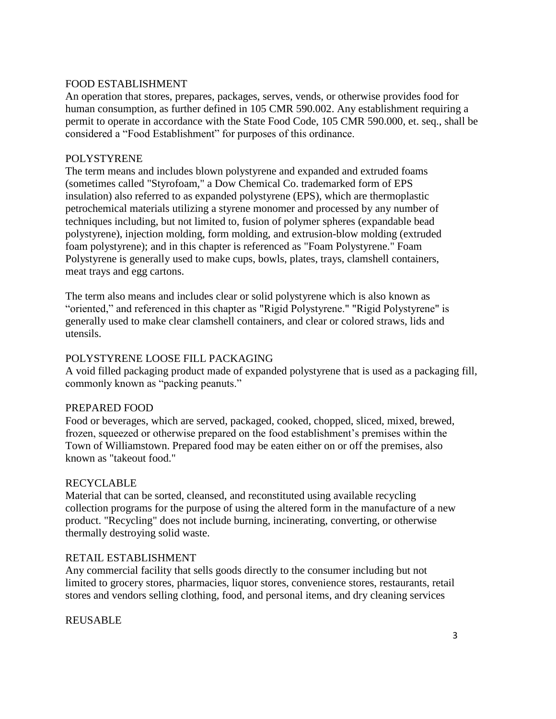### FOOD ESTABLISHMENT

An operation that stores, prepares, packages, serves, vends, or otherwise provides food for human consumption, as further defined in 105 CMR 590.002. Any establishment requiring a permit to operate in accordance with the State Food Code, 105 CMR 590.000, et. seq., shall be considered a "Food Establishment" for purposes of this ordinance.

#### POLYSTYRENE

The term means and includes blown polystyrene and expanded and extruded foams (sometimes called "Styrofoam," a Dow Chemical Co. trademarked form of EPS insulation) also referred to as expanded polystyrene (EPS), which are thermoplastic petrochemical materials utilizing a styrene monomer and processed by any number of techniques including, but not limited to, fusion of polymer spheres (expandable bead polystyrene), injection molding, form molding, and extrusion-blow molding (extruded foam polystyrene); and in this chapter is referenced as "Foam Polystyrene." Foam Polystyrene is generally used to make cups, bowls, plates, trays, clamshell containers, meat trays and egg cartons.

The term also means and includes clear or solid polystyrene which is also known as "oriented," and referenced in this chapter as "Rigid Polystyrene." "Rigid Polystyrene" is generally used to make clear clamshell containers, and clear or colored straws, lids and utensils.

#### POLYSTYRENE LOOSE FILL PACKAGING

A void filled packaging product made of expanded polystyrene that is used as a packaging fill, commonly known as "packing peanuts."

#### PREPARED FOOD

Food or beverages, which are served, packaged, cooked, chopped, sliced, mixed, brewed, frozen, squeezed or otherwise prepared on the food establishment's premises within the Town of Williamstown. Prepared food may be eaten either on or off the premises, also known as "takeout food."

#### RECYCLABLE

Material that can be sorted, cleansed, and reconstituted using available recycling collection programs for the purpose of using the altered form in the manufacture of a new product. "Recycling" does not include burning, incinerating, converting, or otherwise thermally destroying solid waste.

#### RETAIL ESTABLISHMENT

Any commercial facility that sells goods directly to the consumer including but not limited to grocery stores, pharmacies, liquor stores, convenience stores, restaurants, retail stores and vendors selling clothing, food, and personal items, and dry cleaning services

### REUSABLE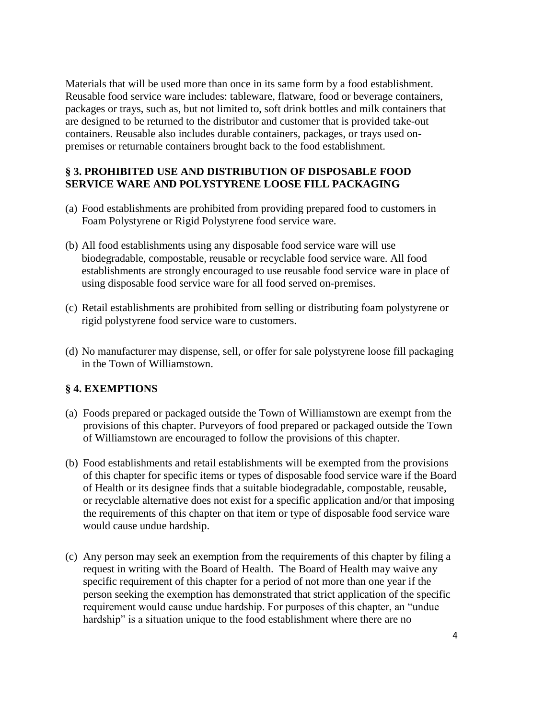Materials that will be used more than once in its same form by a food establishment. Reusable food service ware includes: tableware, flatware, food or beverage containers, packages or trays, such as, but not limited to, soft drink bottles and milk containers that are designed to be returned to the distributor and customer that is provided take-out containers. Reusable also includes durable containers, packages, or trays used onpremises or returnable containers brought back to the food establishment.

### **§ 3. PROHIBITED USE AND DISTRIBUTION OF DISPOSABLE FOOD SERVICE WARE AND POLYSTYRENE LOOSE FILL PACKAGING**

- (a) Food establishments are prohibited from providing prepared food to customers in Foam Polystyrene or Rigid Polystyrene food service ware.
- (b) All food establishments using any disposable food service ware will use biodegradable, compostable, reusable or recyclable food service ware. All food establishments are strongly encouraged to use reusable food service ware in place of using disposable food service ware for all food served on-premises.
- (c) Retail establishments are prohibited from selling or distributing foam polystyrene or rigid polystyrene food service ware to customers.
- (d) No manufacturer may dispense, sell, or offer for sale polystyrene loose fill packaging in the Town of Williamstown.

# **§ 4. EXEMPTIONS**

- (a) Foods prepared or packaged outside the Town of Williamstown are exempt from the provisions of this chapter. Purveyors of food prepared or packaged outside the Town of Williamstown are encouraged to follow the provisions of this chapter.
- (b) Food establishments and retail establishments will be exempted from the provisions of this chapter for specific items or types of disposable food service ware if the Board of Health or its designee finds that a suitable biodegradable, compostable, reusable, or recyclable alternative does not exist for a specific application and/or that imposing the requirements of this chapter on that item or type of disposable food service ware would cause undue hardship.
- (c) Any person may seek an exemption from the requirements of this chapter by filing a request in writing with the Board of Health. The Board of Health may waive any specific requirement of this chapter for a period of not more than one year if the person seeking the exemption has demonstrated that strict application of the specific requirement would cause undue hardship. For purposes of this chapter, an "undue hardship" is a situation unique to the food establishment where there are no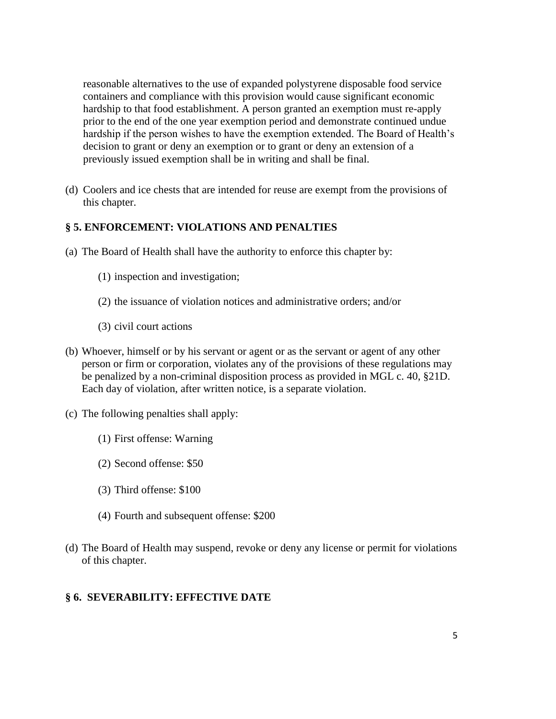reasonable alternatives to the use of expanded polystyrene disposable food service containers and compliance with this provision would cause significant economic hardship to that food establishment. A person granted an exemption must re-apply prior to the end of the one year exemption period and demonstrate continued undue hardship if the person wishes to have the exemption extended. The Board of Health's decision to grant or deny an exemption or to grant or deny an extension of a previously issued exemption shall be in writing and shall be final.

(d) Coolers and ice chests that are intended for reuse are exempt from the provisions of this chapter.

### **§ 5. ENFORCEMENT: VIOLATIONS AND PENALTIES**

- (a) The Board of Health shall have the authority to enforce this chapter by:
	- (1) inspection and investigation;
	- (2) the issuance of violation notices and administrative orders; and/or
	- (3) civil court actions
- (b) Whoever, himself or by his servant or agent or as the servant or agent of any other person or firm or corporation, violates any of the provisions of these regulations may be penalized by a non-criminal disposition process as provided in MGL c. 40, §21D. Each day of violation, after written notice, is a separate violation.
- (c) The following penalties shall apply:
	- (1) First offense: Warning
	- (2) Second offense: \$50
	- (3) Third offense: \$100
	- (4) Fourth and subsequent offense: \$200
- (d) The Board of Health may suspend, revoke or deny any license or permit for violations of this chapter.

#### **§ 6. SEVERABILITY: EFFECTIVE DATE**